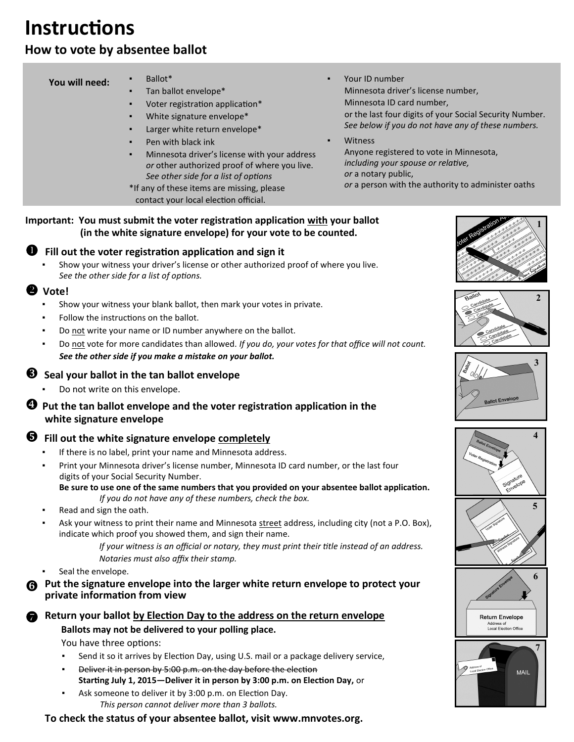# **Instructions**

# **How to vote by absentee ballot**

#### **You will need:**

| DallUt |  |  |
|--------|--|--|
|        |  |  |

- Tan ballot envelope\*
- Voter registration application\*
- White signature envelope\*
- Larger white return envelope\*
- Pen with black ink
- Minnesota driver's license with your address *or* other authorized proof of where you live. *See other side for a list of options*
- \*If any of these items are missing, please contact your local election official.
- Your ID number Minnesota driver's license number, Minnesota ID card number, or the last four digits of your Social Security Number. *See below if you do not have any of these numbers.*

**Witness**  Anyone registered to vote in Minnesota, *including your spouse or relative, or* a notary public, *or* a person with the authority to administer oaths

#### **Important: You must submit the voter registration application with your ballot (in the white signature envelope) for your vote to be counted.**

# **Fill out the voter registration application and sign it**

Show your witness your driver's license or other authorized proof of where you live.  *See the other side for a list of options.*

#### **Vote!**

- Show your witness your blank ballot, then mark your votes in private.
- Follow the instructions on the ballot.
- Do not write your name or ID number anywhere on the ballot.
- Do not vote for more candidates than allowed. *If you do, your votes for that office will not count. See the other side if you make a mistake on your ballot.*

## **Seal your ballot in the tan ballot envelope**

Do not write on this envelope.

#### $\bullet$  Put the tan ballot envelope and the voter registration application in the  **white signature envelope**

# **Fill out the white signature envelope completely**

- If there is no label, print your name and Minnesota address.
- Print your Minnesota driver's license number, Minnesota ID card number, or the last four digits of your Social Security Number.

 **Be sure to use one of the same numbers that you provided on your absentee ballot application.**   *If you do not have any of these numbers, check the box.*

- Read and sign the oath.
- Ask your witness to print their name and Minnesota street address, including city (not a P.O. Box), indicate which proof you showed them, and sign their name.

 *If your witness is an official or notary, they must print their title instead of an address. Notaries must also affix their stamp.*

Seal the envelope.

**Put the signature envelope into the larger white return envelope to protect your private information from view**

#### **Return your ballot by Election Day to the address on the return envelope Ballots may not be delivered to your polling place.**

You have three options:

- Send it so it arrives by Election Day, using U.S. mail or a package delivery service,
- **EXECT** Deliver it in person by 5:00 p.m. on the day before the election **Starting July 1, 2015—Deliver it in person by 3:00 p.m. on Election Day,** or
- Ask someone to deliver it by 3:00 p.m. on Election Day. *This person cannot deliver more than 3 ballots.*

**To check the status of your absentee ballot, visit www.mnvotes.org.**